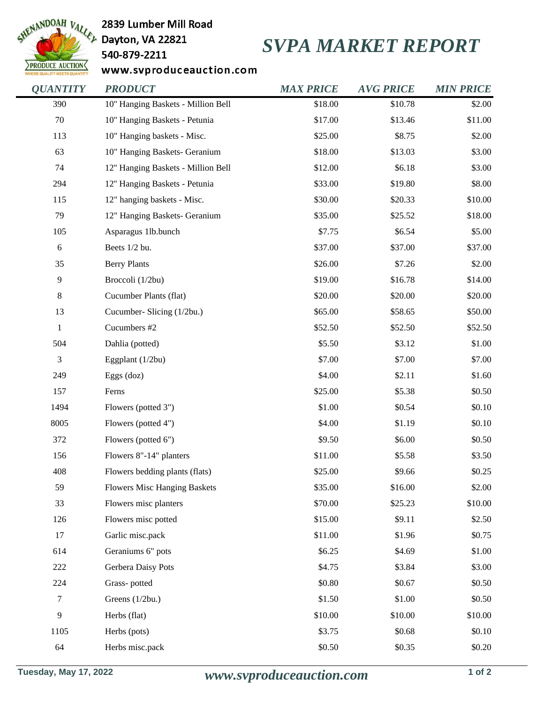

2839 Lumber Mill Road

540-879-2211

## *SVPA MARKET REPORT*

www.svproduceauction.com

| <b>QUANTITY</b> | <b>PRODUCT</b>                      | <b>MAX PRICE</b> | <b>AVG PRICE</b> | <b>MIN PRICE</b> |
|-----------------|-------------------------------------|------------------|------------------|------------------|
| 390             | 10" Hanging Baskets - Million Bell  | \$18.00          | \$10.78          | \$2.00           |
| $70\,$          | 10" Hanging Baskets - Petunia       | \$17.00          | \$13.46          | \$11.00          |
| 113             | 10" Hanging baskets - Misc.         | \$25.00          | \$8.75           | \$2.00           |
| 63              | 10" Hanging Baskets- Geranium       | \$18.00          | \$13.03          | \$3.00           |
| 74              | 12" Hanging Baskets - Million Bell  | \$12.00          | \$6.18           | \$3.00           |
| 294             | 12" Hanging Baskets - Petunia       | \$33.00          | \$19.80          | \$8.00           |
| 115             | 12" hanging baskets - Misc.         | \$30.00          | \$20.33          | \$10.00          |
| 79              | 12" Hanging Baskets- Geranium       | \$35.00          | \$25.52          | \$18.00          |
| 105             | Asparagus 1lb.bunch                 | \$7.75           | \$6.54           | \$5.00           |
| $6\,$           | Beets 1/2 bu.                       | \$37.00          | \$37.00          | \$37.00          |
| 35              | <b>Berry Plants</b>                 | \$26.00          | \$7.26           | \$2.00           |
| 9               | Broccoli (1/2bu)                    | \$19.00          | \$16.78          | \$14.00          |
| 8               | Cucumber Plants (flat)              | \$20.00          | \$20.00          | \$20.00          |
| 13              | Cucumber- Slicing (1/2bu.)          | \$65.00          | \$58.65          | \$50.00          |
| $\,1$           | Cucumbers #2                        | \$52.50          | \$52.50          | \$52.50          |
| 504             | Dahlia (potted)                     | \$5.50           | \$3.12           | \$1.00           |
| 3               | Eggplant (1/2bu)                    | \$7.00           | \$7.00           | \$7.00           |
| 249             | Eggs (doz)                          | \$4.00           | \$2.11           | \$1.60           |
| 157             | Ferns                               | \$25.00          | \$5.38           | \$0.50           |
| 1494            | Flowers (potted 3")                 | \$1.00           | \$0.54           | \$0.10           |
| 8005            | Flowers (potted 4")                 | \$4.00           | \$1.19           | \$0.10           |
| 372             | Flowers (potted 6")                 | \$9.50           | \$6.00           | \$0.50           |
| 156             | Flowers 8"-14" planters             | \$11.00          | \$5.58           | \$3.50           |
| 408             | Flowers bedding plants (flats)      | \$25.00          | \$9.66           | \$0.25           |
| 59              | <b>Flowers Misc Hanging Baskets</b> | \$35.00          | \$16.00          | \$2.00           |
| 33              | Flowers misc planters               | \$70.00          | \$25.23          | \$10.00          |
| 126             | Flowers misc potted                 | \$15.00          | \$9.11           | \$2.50           |
| 17              | Garlic misc.pack                    | \$11.00          | \$1.96           | \$0.75           |
| 614             | Geraniums 6" pots                   | \$6.25           | \$4.69           | \$1.00           |
| 222             | Gerbera Daisy Pots                  | \$4.75           | \$3.84           | \$3.00           |
| 224             | Grass-potted                        | \$0.80           | \$0.67           | \$0.50           |
| 7               | Greens (1/2bu.)                     | \$1.50           | \$1.00           | \$0.50           |
| 9               | Herbs (flat)                        | \$10.00          | \$10.00          | \$10.00          |
| 1105            | Herbs (pots)                        | \$3.75           | \$0.68           | \$0.10           |
| 64              | Herbs misc.pack                     | \$0.50           | \$0.35           | \$0.20           |
|                 |                                     |                  |                  |                  |

**Tuesday, May 17, 2022** *www.svproduceauction.com* **1 of 2**